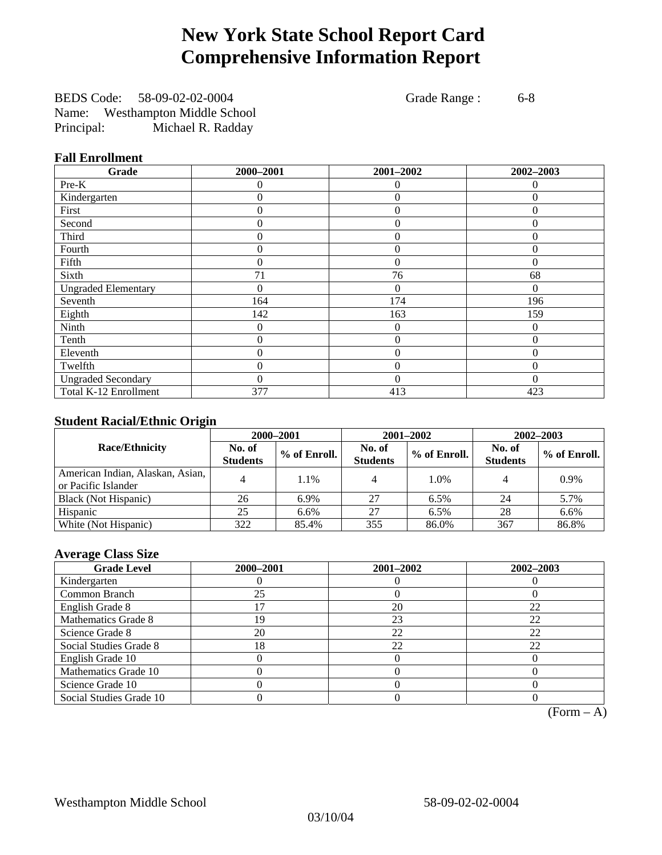# **New York State School Report Card Comprehensive Information Report**

BEDS Code: 58-09-02-02-0004 Grade Range : 6-8 Name: Westhampton Middle School Principal: Michael R. Radday

## **Fall Enrollment**

| Grade                      | 2000-2001 | 2001-2002      | 2002-2003 |
|----------------------------|-----------|----------------|-----------|
| Pre-K                      | $\Omega$  | $\theta$       | $\Omega$  |
| Kindergarten               | $\theta$  | $\overline{0}$ | $\Omega$  |
| First                      | 0         | $\theta$       | $\Omega$  |
| Second                     | 0         | $\theta$       | $\Omega$  |
| Third                      | 0         | $\theta$       | 0         |
| Fourth                     | 0         | $\overline{0}$ | $\theta$  |
| Fifth                      | 0         | $\theta$       | $\Omega$  |
| Sixth                      | 71        | 76             | 68        |
| <b>Ungraded Elementary</b> | 0         | $\Omega$       | 0         |
| Seventh                    | 164       | 174            | 196       |
| Eighth                     | 142       | 163            | 159       |
| Ninth                      | 0         | $\overline{0}$ | $\Omega$  |
| Tenth                      | 0         | $\theta$       | $\theta$  |
| Eleventh                   | 0         | $\overline{0}$ | 0         |
| Twelfth                    | 0         | $\overline{0}$ | $\Omega$  |
| <b>Ungraded Secondary</b>  | $\theta$  | $\theta$       | $\Omega$  |
| Total K-12 Enrollment      | 377       | 413            | 423       |

## **Student Racial/Ethnic Origin**

|                                                         | 2000-2001                 |              |                           | 2001-2002    | 2002-2003                 |                |
|---------------------------------------------------------|---------------------------|--------------|---------------------------|--------------|---------------------------|----------------|
| <b>Race/Ethnicity</b>                                   | No. of<br><b>Students</b> | % of Enroll. | No. of<br><b>Students</b> | % of Enroll. | No. of<br><b>Students</b> | $%$ of Enroll. |
| American Indian, Alaskan, Asian,<br>or Pacific Islander |                           | 1.1%         |                           | 1.0%         |                           | 0.9%           |
| Black (Not Hispanic)                                    | 26                        | 6.9%         | 27                        | 6.5%         | 24                        | 5.7%           |
| Hispanic                                                | 25                        | $6.6\%$      | 27                        | 6.5%         | 28                        | 6.6%           |
| White (Not Hispanic)                                    | 322                       | 85.4%        | 355                       | 86.0%        | 367                       | 86.8%          |

## **Average Class Size**

| <b>Grade Level</b>      | 2000-2001 | 2001-2002 | 2002-2003 |
|-------------------------|-----------|-----------|-----------|
| Kindergarten            |           |           |           |
| Common Branch           | 25        |           |           |
| English Grade 8         |           | 20        | 22        |
| Mathematics Grade 8     | 19        | 23        | 22        |
| Science Grade 8         | 20        | 22        | 22        |
| Social Studies Grade 8  | 18        | 22        | 22        |
| English Grade 10        |           |           |           |
| Mathematics Grade 10    |           |           |           |
| Science Grade 10        |           |           |           |
| Social Studies Grade 10 |           |           |           |

 $(Form - A)$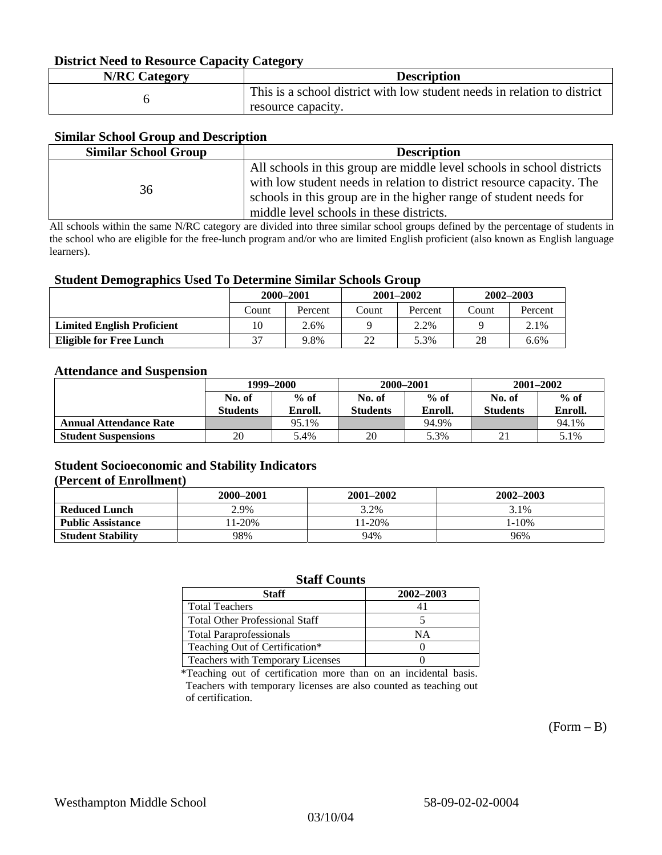### **District Need to Resource Capacity Category**

| <b>N/RC Category</b> | <b>Description</b>                                                                             |
|----------------------|------------------------------------------------------------------------------------------------|
|                      | This is a school district with low student needs in relation to district<br>resource capacity. |

### **Similar School Group and Description**

| <b>Similar School Group</b> | <b>Description</b>                                                     |
|-----------------------------|------------------------------------------------------------------------|
|                             | All schools in this group are middle level schools in school districts |
| 36                          | with low student needs in relation to district resource capacity. The  |
|                             | schools in this group are in the higher range of student needs for     |
|                             | middle level schools in these districts.                               |

All schools within the same N/RC category are divided into three similar school groups defined by the percentage of students in the school who are eligible for the free-lunch program and/or who are limited English proficient (also known as English language learners).

### **Student Demographics Used To Determine Similar Schools Group**

| . .                               | 2000-2001 |         | $2001 - 2002$ |         | $2002 - 2003$ |         |
|-----------------------------------|-----------|---------|---------------|---------|---------------|---------|
|                                   | Count     | Percent | Count         | Percent | Count         | Percent |
| <b>Limited English Proficient</b> | 10        | 2.6%    |               | 2.2%    |               | 2.1%    |
| <b>Eligible for Free Lunch</b>    | 37        | 9.8%    | 22            | 5.3%    | 28            | 6.6%    |

### **Attendance and Suspension**

|                               | 1999–2000        |         | 2000-2001        |         | $2001 - 2002$   |         |
|-------------------------------|------------------|---------|------------------|---------|-----------------|---------|
|                               | $%$ of<br>No. of |         | $%$ of<br>No. of |         | No. of          | $%$ of  |
|                               | <b>Students</b>  | Enroll. | <b>Students</b>  | Enroll. | <b>Students</b> | Enroll. |
| <b>Annual Attendance Rate</b> |                  | 95.1%   |                  | 94.9%   |                 | 94.1%   |
| <b>Student Suspensions</b>    | 20               | 5.4%    | 20               | 5.3%    |                 | 5.1%    |

### **Student Socioeconomic and Stability Indicators (Percent of Enrollment)**

|                          | 2000–2001 | 2001-2002 | 2002-2003 |
|--------------------------|-----------|-----------|-----------|
| <b>Reduced Lunch</b>     | 2.9%      | 3.2%      | 3.1%      |
| <b>Public Assistance</b> | $1-20%$   | $1 - 20%$ | $-10%$    |
| <b>Student Stability</b> | 98%       | 94%       | 96%       |

### **Staff Counts**

| Staff                                 | 2002-2003 |
|---------------------------------------|-----------|
| <b>Total Teachers</b>                 |           |
| <b>Total Other Professional Staff</b> |           |
| <b>Total Paraprofessionals</b>        | ΝA        |
| Teaching Out of Certification*        |           |
| Teachers with Temporary Licenses      |           |

\*Teaching out of certification more than on an incidental basis. Teachers with temporary licenses are also counted as teaching out of certification.

 $(Form - B)$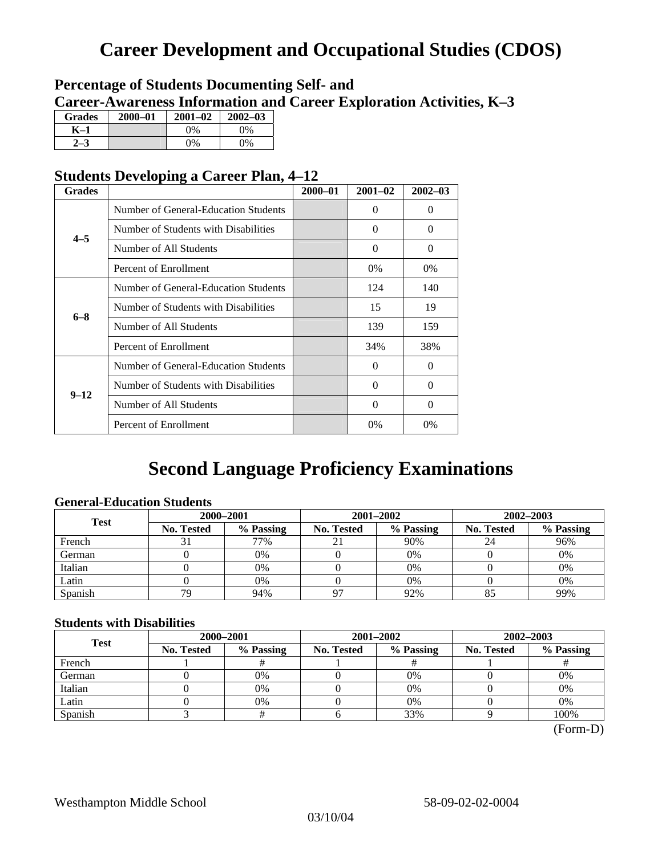# **Career Development and Occupational Studies (CDOS)**

## **Percentage of Students Documenting Self- and Career-Awareness Information and Career Exploration Activities, K–3**

| <b>Grades</b> | 2000-01 | $2001 - 02$ | $2002 - 03$ |
|---------------|---------|-------------|-------------|
| K-1           |         | $0\%$       | 0%          |
|               |         | $0\%$       | $0\%$       |

## **Students Developing a Career Plan, 4–12**

| <b>Grades</b> |                                      | $2000 - 01$ | $2001 - 02$ | $2002 - 03$ |
|---------------|--------------------------------------|-------------|-------------|-------------|
|               | Number of General-Education Students |             | $\theta$    | $\theta$    |
| $4 - 5$       | Number of Students with Disabilities |             | 0           | $\Omega$    |
|               | Number of All Students               |             | $\Omega$    | $\Omega$    |
|               | Percent of Enrollment                |             | $0\%$       | 0%          |
|               | Number of General-Education Students |             | 124         | 140         |
| $6 - 8$       | Number of Students with Disabilities |             | 15          | 19          |
|               | Number of All Students               |             | 139         | 159         |
|               | Percent of Enrollment                |             | 34%         | 38%         |
|               | Number of General-Education Students |             | 0           | $\Omega$    |
| $9 - 12$      | Number of Students with Disabilities |             | $\theta$    | $\Omega$    |
|               | Number of All Students               |             | 0           | $\Omega$    |
|               | Percent of Enrollment                |             | $0\%$       | $0\%$       |

## **Second Language Proficiency Examinations**

## **General-Education Students**

| <b>Test</b> | 2000-2001         |           |            | 2001-2002 | 2002-2003         |           |
|-------------|-------------------|-----------|------------|-----------|-------------------|-----------|
|             | <b>No. Tested</b> | % Passing | No. Tested | % Passing | <b>No. Tested</b> | % Passing |
| French      |                   | 77%       | 21         | 90%       | 24                | 96%       |
| German      |                   | 0%        |            | $0\%$     |                   | 0%        |
| Italian     |                   | 0%        |            | 0%        |                   | 0%        |
| Latin       |                   | 0%        |            | 0%        |                   | 0%        |
| Spanish     | 79                | 94%       | 97         | 92%       |                   | 99%       |

## **Students with Disabilities**

| <b>Test</b> | 2000-2001         |           |            | 2001-2002 | 2002-2003         |           |  |
|-------------|-------------------|-----------|------------|-----------|-------------------|-----------|--|
|             | <b>No. Tested</b> | % Passing | No. Tested | % Passing | <b>No. Tested</b> | % Passing |  |
| French      |                   |           |            |           |                   |           |  |
| German      |                   | 0%        |            | 0%        |                   | 0%        |  |
| Italian     |                   | 0%        |            | 0%        |                   | 0%        |  |
| Latin       |                   | 0%        |            | $0\%$     |                   | 0%        |  |
| Spanish     |                   |           |            | 33%       |                   | 100%      |  |

 <sup>(</sup>Form-D)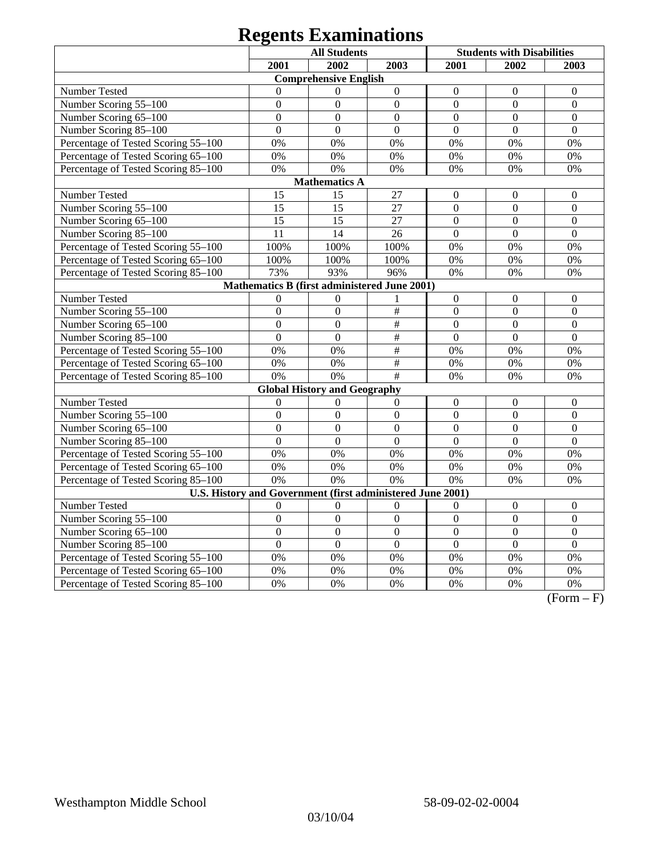# **Regents Examinations**

|                                                            | <b>All Students</b> |                                     |                  | <b>Students with Disabilities</b> |                  |                  |  |  |  |
|------------------------------------------------------------|---------------------|-------------------------------------|------------------|-----------------------------------|------------------|------------------|--|--|--|
|                                                            | 2001                | 2002                                | 2003             | 2001                              | 2002             | 2003             |  |  |  |
| <b>Comprehensive English</b>                               |                     |                                     |                  |                                   |                  |                  |  |  |  |
| <b>Number Tested</b>                                       | $\Omega$            | $\mathbf{0}$                        | $\boldsymbol{0}$ | $\theta$                          | $\mathbf{0}$     | $\overline{0}$   |  |  |  |
| Number Scoring 55-100                                      | $\overline{0}$      | $\overline{0}$                      | $\overline{0}$   | $\mathbf{0}$                      | $\overline{0}$   | $\overline{0}$   |  |  |  |
| Number Scoring 65-100                                      | $\overline{0}$      | $\overline{0}$                      | $\overline{0}$   | $\overline{0}$                    | $\overline{0}$   | $\theta$         |  |  |  |
| Number Scoring 85-100                                      | $\overline{0}$      | $\overline{0}$                      | $\overline{0}$   | $\overline{0}$                    | $\overline{0}$   | $\overline{0}$   |  |  |  |
| Percentage of Tested Scoring 55-100                        | 0%                  | 0%                                  | 0%               | 0%                                | 0%               | 0%               |  |  |  |
| Percentage of Tested Scoring 65-100                        | 0%                  | 0%                                  | 0%               | 0%                                | 0%               | 0%               |  |  |  |
| Percentage of Tested Scoring 85-100                        | 0%                  | 0%                                  | 0%               | 0%                                | 0%               | 0%               |  |  |  |
|                                                            |                     | <b>Mathematics A</b>                |                  |                                   |                  |                  |  |  |  |
| Number Tested                                              | 15                  | 15                                  | 27               | $\boldsymbol{0}$                  | $\overline{0}$   | $\boldsymbol{0}$ |  |  |  |
| Number Scoring 55-100                                      | 15                  | 15                                  | 27               | $\boldsymbol{0}$                  | $\boldsymbol{0}$ | $\boldsymbol{0}$ |  |  |  |
| Number Scoring 65-100                                      | 15                  | 15                                  | 27               | $\mathbf{0}$                      | $\overline{0}$   | $\overline{0}$   |  |  |  |
| Number Scoring 85-100                                      | 11                  | 14                                  | 26               | $\overline{0}$                    | $\overline{0}$   | $\overline{0}$   |  |  |  |
| Percentage of Tested Scoring 55-100                        | 100%                | 100%                                | 100%             | 0%                                | 0%               | 0%               |  |  |  |
| Percentage of Tested Scoring 65-100                        | 100%                | 100%                                | 100%             | 0%                                | 0%               | 0%               |  |  |  |
| Percentage of Tested Scoring 85-100                        | 73%                 | 93%                                 | 96%              | 0%                                | 0%               | 0%               |  |  |  |
| Mathematics B (first administered June 2001)               |                     |                                     |                  |                                   |                  |                  |  |  |  |
| Number Tested                                              | $\mathbf{0}$        | $\overline{0}$                      | 1                | $\mathbf{0}$                      | $\overline{0}$   | $\boldsymbol{0}$ |  |  |  |
| Number Scoring 55-100                                      | $\overline{0}$      | $\overline{0}$                      | $\overline{\#}$  | $\overline{0}$                    | $\overline{0}$   | $\overline{0}$   |  |  |  |
| Number Scoring 65-100                                      | $\overline{0}$      | $\overline{0}$                      | $\overline{\#}$  | $\mathbf{0}$                      | $\overline{0}$   | $\overline{0}$   |  |  |  |
| Number Scoring 85-100                                      | $\Omega$            | $\mathbf{0}$                        | $\#$             | $\mathbf{0}$                      | $\overline{0}$   | $\overline{0}$   |  |  |  |
| Percentage of Tested Scoring 55-100                        | 0%                  | 0%                                  | $\#$             | 0%                                | 0%               | 0%               |  |  |  |
| Percentage of Tested Scoring 65-100                        | 0%                  | 0%                                  | #                | 0%                                | 0%               | 0%               |  |  |  |
| Percentage of Tested Scoring 85-100                        | 0%                  | 0%                                  | #                | 0%                                | $0\%$            | 0%               |  |  |  |
|                                                            |                     | <b>Global History and Geography</b> |                  |                                   |                  |                  |  |  |  |
| Number Tested                                              | $\overline{0}$      | $\mathbf{0}$                        | $\overline{0}$   | $\boldsymbol{0}$                  | $\boldsymbol{0}$ | $\overline{0}$   |  |  |  |
| Number Scoring 55-100                                      | $\overline{0}$      | $\mathbf{0}$                        | $\overline{0}$   | $\overline{0}$                    | $\overline{0}$   | $\overline{0}$   |  |  |  |
| Number Scoring 65-100                                      | $\overline{0}$      | $\overline{0}$                      | $\overline{0}$   | $\overline{0}$                    | $\overline{0}$   | $\overline{0}$   |  |  |  |
| Number Scoring 85-100                                      | $\overline{0}$      | $\mathbf{0}$                        | $\overline{0}$   | $\overline{0}$                    | $\overline{0}$   | $\overline{0}$   |  |  |  |
| Percentage of Tested Scoring 55-100                        | 0%                  | 0%                                  | 0%               | 0%                                | 0%               | 0%               |  |  |  |
| Percentage of Tested Scoring 65-100                        | 0%                  | 0%                                  | 0%               | 0%                                | 0%               | 0%               |  |  |  |
| Percentage of Tested Scoring 85-100                        | 0%                  | 0%                                  | 0%               | 0%                                | 0%               | 0%               |  |  |  |
| U.S. History and Government (first administered June 2001) |                     |                                     |                  |                                   |                  |                  |  |  |  |
| Number Tested                                              | $\theta$            | $\mathbf{0}$                        | $\mathbf{0}$     | $\mathbf{0}$                      | $\mathbf{0}$     | $\overline{0}$   |  |  |  |
| Number Scoring 55-100                                      | $\overline{0}$      | $\overline{0}$                      | $\overline{0}$   | $\overline{0}$                    | $\overline{0}$   | $\overline{0}$   |  |  |  |
| Number Scoring 65-100                                      | $\overline{0}$      | $\overline{0}$                      | $\overline{0}$   | $\overline{0}$                    | $\overline{0}$   | $\overline{0}$   |  |  |  |
| Number Scoring 85-100                                      | $\overline{0}$      | $\overline{0}$                      | $\overline{0}$   | $\overline{0}$                    | $\overline{0}$   | $\overline{0}$   |  |  |  |
| Percentage of Tested Scoring 55-100                        | 0%                  | 0%                                  | 0%               | 0%                                | 0%               | 0%               |  |  |  |
| Percentage of Tested Scoring 65-100                        | 0%                  | 0%                                  | 0%               | 0%                                | 0%               | 0%               |  |  |  |
| Percentage of Tested Scoring 85-100                        | 0%                  | 0%                                  | 0%               | 0%                                | 0%               | 0%               |  |  |  |

 $(Form - F)$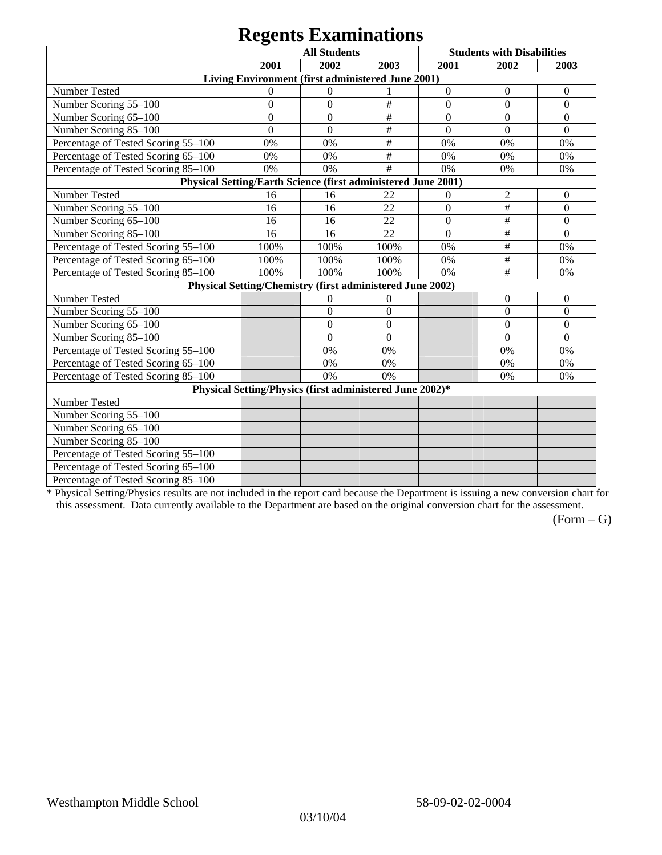## **Regents Examinations**

|                                                               | 8°-<br><b>All Students</b> |                                                           |              | <b>Students with Disabilities</b> |                  |                  |  |  |
|---------------------------------------------------------------|----------------------------|-----------------------------------------------------------|--------------|-----------------------------------|------------------|------------------|--|--|
|                                                               | 2001<br>2002<br>2003       |                                                           |              | 2001                              | 2002             | 2003             |  |  |
| Living Environment (first administered June 2001)             |                            |                                                           |              |                                   |                  |                  |  |  |
| Number Tested                                                 | $\mathbf{0}$               | $\theta$                                                  |              | $\boldsymbol{0}$                  | $\boldsymbol{0}$ | $\boldsymbol{0}$ |  |  |
| Number Scoring 55-100                                         | $\overline{0}$             | $\overline{0}$                                            | $\#$         | $\overline{0}$                    | $\overline{0}$   | $\overline{0}$   |  |  |
| Number Scoring 65-100                                         | $\mathbf{0}$               | $\overline{0}$                                            | $\#$         | $\overline{0}$                    | $\overline{0}$   | $\mathbf{0}$     |  |  |
| Number Scoring 85-100                                         | $\mathbf{0}$               | $\overline{0}$                                            | $\#$         | $\boldsymbol{0}$                  | $\boldsymbol{0}$ | $\boldsymbol{0}$ |  |  |
| Percentage of Tested Scoring 55-100                           | 0%                         | 0%                                                        | $\#$         | 0%                                | 0%               | 0%               |  |  |
| Percentage of Tested Scoring 65-100                           | 0%                         | 0%                                                        | $\#$         | 0%                                | 0%               | 0%               |  |  |
| Percentage of Tested Scoring 85-100                           | 0%                         | 0%                                                        | #            | 0%                                | 0%               | 0%               |  |  |
| Physical Setting/Earth Science (first administered June 2001) |                            |                                                           |              |                                   |                  |                  |  |  |
| Number Tested                                                 | 16                         | 16                                                        | 22           | $\boldsymbol{0}$                  | $\overline{2}$   | $\mathbf{0}$     |  |  |
| Number Scoring 55-100                                         | 16                         | 16                                                        | 22           | $\overline{0}$                    | $\#$             | $\overline{0}$   |  |  |
| Number Scoring 65-100                                         | 16                         | 16                                                        | 22           | $\overline{0}$                    | $\#$             | $\overline{0}$   |  |  |
| Number Scoring 85-100                                         | 16                         | 16                                                        | 22           | $\mathbf{0}$                      | $\#$             | $\boldsymbol{0}$ |  |  |
| Percentage of Tested Scoring 55-100                           | 100%                       | 100%                                                      | 100%         | 0%                                | $\#$             | 0%               |  |  |
| Percentage of Tested Scoring 65-100                           | 100%                       | 100%                                                      | 100%         | 0%                                | $\#$             | 0%               |  |  |
| Percentage of Tested Scoring 85-100                           | 100%                       | 100%                                                      | 100%         | 0%                                | $\#$             | 0%               |  |  |
|                                                               |                            | Physical Setting/Chemistry (first administered June 2002) |              |                                   |                  |                  |  |  |
| Number Tested                                                 |                            | $\mathbf{0}$                                              | $\mathbf{0}$ |                                   | $\theta$         | $\theta$         |  |  |
| Number Scoring 55-100                                         |                            | $\overline{0}$                                            | $\mathbf{0}$ |                                   | $\theta$         | $\overline{0}$   |  |  |
| Number Scoring 65-100                                         |                            | $\mathbf{0}$                                              | $\mathbf{0}$ |                                   | $\theta$         | $\theta$         |  |  |
| Number Scoring 85-100                                         |                            | $\overline{0}$                                            | $\mathbf{0}$ |                                   | $\overline{0}$   | $\mathbf{0}$     |  |  |
| Percentage of Tested Scoring 55-100                           |                            | 0%                                                        | 0%           |                                   | 0%               | 0%               |  |  |
| Percentage of Tested Scoring 65-100                           |                            | 0%                                                        | 0%           |                                   | 0%               | 0%               |  |  |
| Percentage of Tested Scoring 85-100                           |                            | 0%                                                        | 0%           |                                   | 0%               | 0%               |  |  |
|                                                               |                            | Physical Setting/Physics (first administered June 2002)*  |              |                                   |                  |                  |  |  |
| Number Tested                                                 |                            |                                                           |              |                                   |                  |                  |  |  |
| Number Scoring 55-100                                         |                            |                                                           |              |                                   |                  |                  |  |  |
| Number Scoring 65-100                                         |                            |                                                           |              |                                   |                  |                  |  |  |
| Number Scoring 85-100                                         |                            |                                                           |              |                                   |                  |                  |  |  |
| Percentage of Tested Scoring 55-100                           |                            |                                                           |              |                                   |                  |                  |  |  |
| Percentage of Tested Scoring 65-100                           |                            |                                                           |              |                                   |                  |                  |  |  |
| Percentage of Tested Scoring 85-100                           |                            |                                                           |              |                                   |                  |                  |  |  |

\* Physical Setting/Physics results are not included in the report card because the Department is issuing a new conversion chart for this assessment. Data currently available to the Department are based on the original conversion chart for the assessment.

 $(Form - G)$